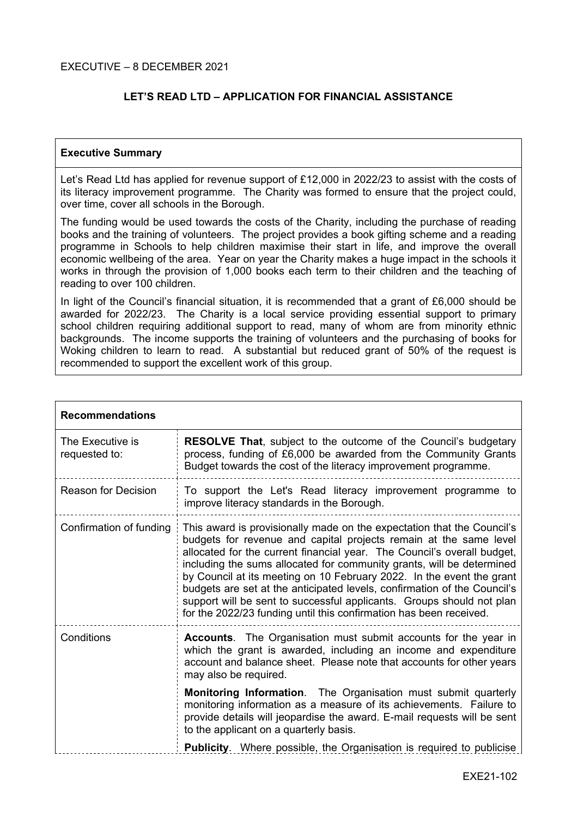## **LET'S READ LTD – APPLICATION FOR FINANCIAL ASSISTANCE**

#### **Executive Summary**

Let's Read Ltd has applied for revenue support of £12,000 in 2022/23 to assist with the costs of its literacy improvement programme. The Charity was formed to ensure that the project could, over time, cover all schools in the Borough.

The funding would be used towards the costs of the Charity, including the purchase of reading books and the training of volunteers. The project provides a book gifting scheme and a reading programme in Schools to help children maximise their start in life, and improve the overall economic wellbeing of the area. Year on year the Charity makes a huge impact in the schools it works in through the provision of 1,000 books each term to their children and the teaching of reading to over 100 children.

In light of the Council's financial situation, it is recommended that a grant of £6,000 should be awarded for 2022/23. The Charity is a local service providing essential support to primary school children requiring additional support to read, many of whom are from minority ethnic backgrounds. The income supports the training of volunteers and the purchasing of books for Woking children to learn to read. A substantial but reduced grant of 50% of the request is recommended to support the excellent work of this group.

| <b>Recommendations</b>            |                                                                                                                                                                                                                                                                                                                                                                                                                                                                                                                                                                                                     |
|-----------------------------------|-----------------------------------------------------------------------------------------------------------------------------------------------------------------------------------------------------------------------------------------------------------------------------------------------------------------------------------------------------------------------------------------------------------------------------------------------------------------------------------------------------------------------------------------------------------------------------------------------------|
| The Executive is<br>requested to: | <b>RESOLVE That, subject to the outcome of the Council's budgetary</b><br>process, funding of £6,000 be awarded from the Community Grants<br>Budget towards the cost of the literacy improvement programme.                                                                                                                                                                                                                                                                                                                                                                                         |
| Reason for Decision               | To support the Let's Read literacy improvement programme to<br>improve literacy standards in the Borough.                                                                                                                                                                                                                                                                                                                                                                                                                                                                                           |
| Confirmation of funding           | This award is provisionally made on the expectation that the Council's<br>budgets for revenue and capital projects remain at the same level<br>allocated for the current financial year. The Council's overall budget,<br>including the sums allocated for community grants, will be determined<br>by Council at its meeting on 10 February 2022. In the event the grant<br>budgets are set at the anticipated levels, confirmation of the Council's<br>support will be sent to successful applicants. Groups should not plan<br>for the 2022/23 funding until this confirmation has been received. |
| Conditions                        | <b>Accounts.</b> The Organisation must submit accounts for the year in<br>which the grant is awarded, including an income and expenditure<br>account and balance sheet. Please note that accounts for other years<br>may also be required.                                                                                                                                                                                                                                                                                                                                                          |
|                                   | <b>Monitoring Information.</b> The Organisation must submit quarterly<br>monitoring information as a measure of its achievements. Failure to<br>provide details will jeopardise the award. E-mail requests will be sent<br>to the applicant on a quarterly basis.                                                                                                                                                                                                                                                                                                                                   |
|                                   | <b>Publicity.</b> Where possible, the Organisation is required to publicise                                                                                                                                                                                                                                                                                                                                                                                                                                                                                                                         |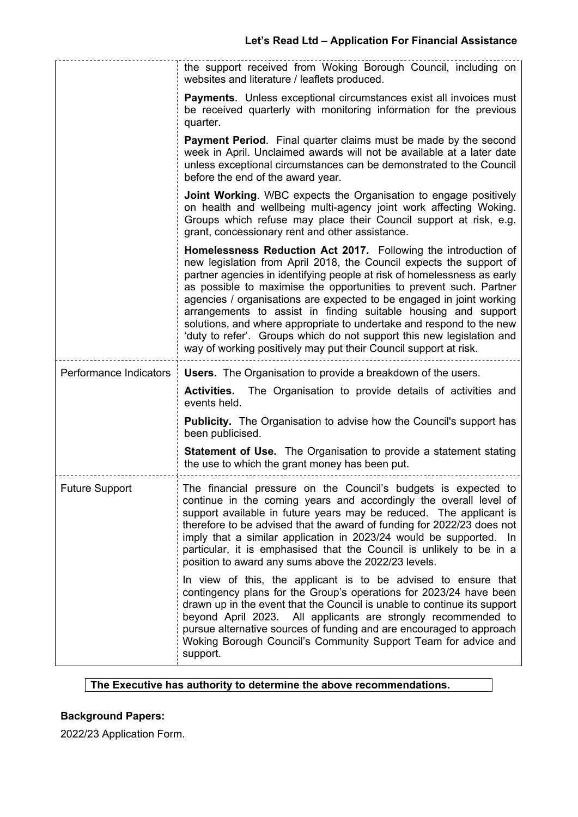|                        | the support received from Woking Borough Council, including on<br>websites and literature / leaflets produced.                                                                                                                                                                                                                                                                                                                                                                                                                                                                                                                                        |
|------------------------|-------------------------------------------------------------------------------------------------------------------------------------------------------------------------------------------------------------------------------------------------------------------------------------------------------------------------------------------------------------------------------------------------------------------------------------------------------------------------------------------------------------------------------------------------------------------------------------------------------------------------------------------------------|
|                        | <b>Payments.</b> Unless exceptional circumstances exist all invoices must<br>be received quarterly with monitoring information for the previous<br>quarter.                                                                                                                                                                                                                                                                                                                                                                                                                                                                                           |
|                        | <b>Payment Period.</b> Final quarter claims must be made by the second<br>week in April. Unclaimed awards will not be available at a later date<br>unless exceptional circumstances can be demonstrated to the Council<br>before the end of the award year.                                                                                                                                                                                                                                                                                                                                                                                           |
|                        | <b>Joint Working.</b> WBC expects the Organisation to engage positively<br>on health and wellbeing multi-agency joint work affecting Woking.<br>Groups which refuse may place their Council support at risk, e.g.<br>grant, concessionary rent and other assistance.                                                                                                                                                                                                                                                                                                                                                                                  |
|                        | Homelessness Reduction Act 2017. Following the introduction of<br>new legislation from April 2018, the Council expects the support of<br>partner agencies in identifying people at risk of homelessness as early<br>as possible to maximise the opportunities to prevent such. Partner<br>agencies / organisations are expected to be engaged in joint working<br>arrangements to assist in finding suitable housing and support<br>solutions, and where appropriate to undertake and respond to the new<br>'duty to refer'. Groups which do not support this new legislation and<br>way of working positively may put their Council support at risk. |
|                        |                                                                                                                                                                                                                                                                                                                                                                                                                                                                                                                                                                                                                                                       |
| Performance Indicators | <b>Users.</b> The Organisation to provide a breakdown of the users.                                                                                                                                                                                                                                                                                                                                                                                                                                                                                                                                                                                   |
|                        | The Organisation to provide details of activities and<br><b>Activities.</b><br>events held.                                                                                                                                                                                                                                                                                                                                                                                                                                                                                                                                                           |
|                        | <b>Publicity.</b> The Organisation to advise how the Council's support has<br>been publicised.                                                                                                                                                                                                                                                                                                                                                                                                                                                                                                                                                        |
|                        | <b>Statement of Use.</b> The Organisation to provide a statement stating<br>the use to which the grant money has been put.                                                                                                                                                                                                                                                                                                                                                                                                                                                                                                                            |
| <b>Future Support</b>  | The financial pressure on the Council's budgets is expected to<br>continue in the coming years and accordingly the overall level of<br>support available in future years may be reduced. The applicant is<br>therefore to be advised that the award of funding for 2022/23 does not<br>imply that a similar application in 2023/24 would be supported. In<br>particular, it is emphasised that the Council is unlikely to be in a<br>position to award any sums above the 2022/23 levels.                                                                                                                                                             |

## **The Executive has authority to determine the above recommendations.**

# **Background Papers:**

2022/23 Application Form.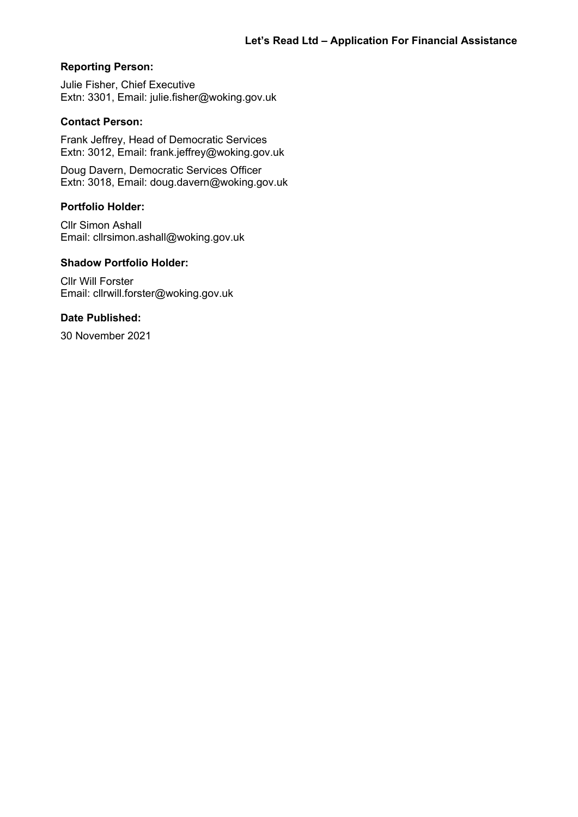#### **Reporting Person:**

Julie Fisher, Chief Executive Extn: 3301, Email: julie.fisher@woking.gov.uk

#### **Contact Person:**

Frank Jeffrey, Head of Democratic Services Extn: 3012, Email: frank.jeffrey@woking.gov.uk

Doug Davern, Democratic Services Officer Extn: 3018, Email: doug.davern@woking.gov.uk

#### **Portfolio Holder:**

Cllr Simon Ashall Email: cllrsimon.ashall@woking.gov.uk

## **Shadow Portfolio Holder:**

Cllr Will Forster Email: cllrwill.forster@woking.gov.uk

#### **Date Published:**

30 November 2021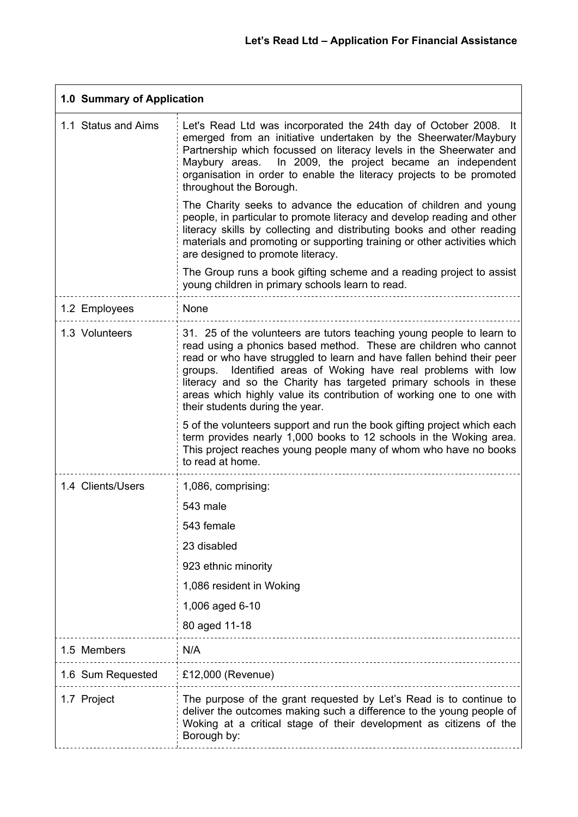| 1.0 Summary of Application |                                                                                                                                                                                                                                                                                                                                                                                                                                                                         |
|----------------------------|-------------------------------------------------------------------------------------------------------------------------------------------------------------------------------------------------------------------------------------------------------------------------------------------------------------------------------------------------------------------------------------------------------------------------------------------------------------------------|
| 1.1 Status and Aims        | Let's Read Ltd was incorporated the 24th day of October 2008. It<br>emerged from an initiative undertaken by the Sheerwater/Maybury<br>Partnership which focussed on literacy levels in the Sheerwater and<br>In 2009, the project became an independent<br>Maybury areas.<br>organisation in order to enable the literacy projects to be promoted<br>throughout the Borough.                                                                                           |
|                            | The Charity seeks to advance the education of children and young<br>people, in particular to promote literacy and develop reading and other<br>literacy skills by collecting and distributing books and other reading<br>materials and promoting or supporting training or other activities which<br>are designed to promote literacy.                                                                                                                                  |
|                            | The Group runs a book gifting scheme and a reading project to assist<br>young children in primary schools learn to read.                                                                                                                                                                                                                                                                                                                                                |
| 1.2 Employees              | None                                                                                                                                                                                                                                                                                                                                                                                                                                                                    |
| 1.3 Volunteers             | 31. 25 of the volunteers are tutors teaching young people to learn to<br>read using a phonics based method. These are children who cannot<br>read or who have struggled to learn and have fallen behind their peer<br>Identified areas of Woking have real problems with low<br>groups.<br>literacy and so the Charity has targeted primary schools in these<br>areas which highly value its contribution of working one to one with<br>their students during the year. |
|                            | 5 of the volunteers support and run the book gifting project which each<br>term provides nearly 1,000 books to 12 schools in the Woking area.<br>This project reaches young people many of whom who have no books<br>to read at home.                                                                                                                                                                                                                                   |
| 1.4 Clients/Users          | 1,086, comprising:                                                                                                                                                                                                                                                                                                                                                                                                                                                      |
|                            | 543 male                                                                                                                                                                                                                                                                                                                                                                                                                                                                |
|                            | 543 female                                                                                                                                                                                                                                                                                                                                                                                                                                                              |
|                            | 23 disabled                                                                                                                                                                                                                                                                                                                                                                                                                                                             |
|                            | 923 ethnic minority                                                                                                                                                                                                                                                                                                                                                                                                                                                     |
|                            | 1,086 resident in Woking                                                                                                                                                                                                                                                                                                                                                                                                                                                |
|                            | 1,006 aged 6-10                                                                                                                                                                                                                                                                                                                                                                                                                                                         |
|                            | 80 aged 11-18                                                                                                                                                                                                                                                                                                                                                                                                                                                           |
| 1.5 Members                | N/A                                                                                                                                                                                                                                                                                                                                                                                                                                                                     |
| 1.6 Sum Requested          | £12,000 (Revenue)                                                                                                                                                                                                                                                                                                                                                                                                                                                       |
| 1.7 Project                | The purpose of the grant requested by Let's Read is to continue to<br>deliver the outcomes making such a difference to the young people of<br>Woking at a critical stage of their development as citizens of the<br>Borough by:                                                                                                                                                                                                                                         |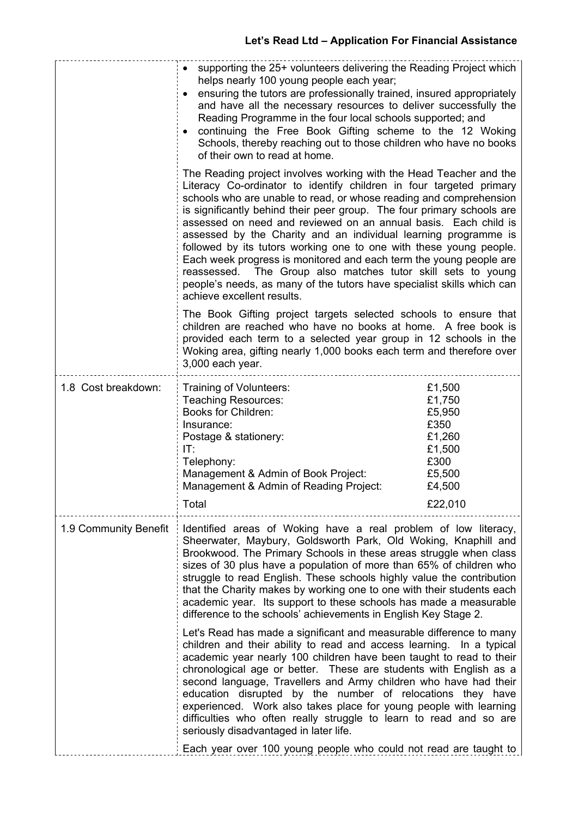|                       | • supporting the 25+ volunteers delivering the Reading Project which<br>helps nearly 100 young people each year;<br>ensuring the tutors are professionally trained, insured appropriately<br>and have all the necessary resources to deliver successfully the<br>Reading Programme in the four local schools supported; and<br>continuing the Free Book Gifting scheme to the 12 Woking<br>Schools, thereby reaching out to those children who have no books<br>of their own to read at home.                                                                                                                                                                                                                                                       |                                                                                    |
|-----------------------|-----------------------------------------------------------------------------------------------------------------------------------------------------------------------------------------------------------------------------------------------------------------------------------------------------------------------------------------------------------------------------------------------------------------------------------------------------------------------------------------------------------------------------------------------------------------------------------------------------------------------------------------------------------------------------------------------------------------------------------------------------|------------------------------------------------------------------------------------|
|                       | The Reading project involves working with the Head Teacher and the<br>Literacy Co-ordinator to identify children in four targeted primary<br>schools who are unable to read, or whose reading and comprehension<br>is significantly behind their peer group. The four primary schools are<br>assessed on need and reviewed on an annual basis. Each child is<br>assessed by the Charity and an individual learning programme is<br>followed by its tutors working one to one with these young people.<br>Each week progress is monitored and each term the young people are<br>reassessed. The Group also matches tutor skill sets to young<br>people's needs, as many of the tutors have specialist skills which can<br>achieve excellent results. |                                                                                    |
|                       | The Book Gifting project targets selected schools to ensure that<br>children are reached who have no books at home. A free book is<br>provided each term to a selected year group in 12 schools in the<br>Woking area, gifting nearly 1,000 books each term and therefore over<br>3,000 each year.                                                                                                                                                                                                                                                                                                                                                                                                                                                  |                                                                                    |
| 1.8 Cost breakdown:   | Training of Volunteers:<br>Teaching Resources:<br><b>Books for Children:</b><br>Insurance:<br>Postage & stationery:<br>IT:<br>Telephony:<br>Management & Admin of Book Project:<br>Management & Admin of Reading Project:                                                                                                                                                                                                                                                                                                                                                                                                                                                                                                                           | £1,500<br>£1,750<br>£5,950<br>£350<br>£1,260<br>£1,500<br>£300<br>£5,500<br>£4,500 |
|                       | Total                                                                                                                                                                                                                                                                                                                                                                                                                                                                                                                                                                                                                                                                                                                                               | £22,010                                                                            |
| 1.9 Community Benefit | Identified areas of Woking have a real problem of low literacy,<br>Sheerwater, Maybury, Goldsworth Park, Old Woking, Knaphill and<br>Brookwood. The Primary Schools in these areas struggle when class<br>sizes of 30 plus have a population of more than 65% of children who<br>struggle to read English. These schools highly value the contribution<br>that the Charity makes by working one to one with their students each<br>academic year. Its support to these schools has made a measurable<br>difference to the schools' achievements in English Key Stage 2.                                                                                                                                                                             |                                                                                    |
|                       | Let's Read has made a significant and measurable difference to many<br>children and their ability to read and access learning. In a typical<br>academic year nearly 100 children have been taught to read to their<br>chronological age or better. These are students with English as a<br>second language, Travellers and Army children who have had their<br>education disrupted by the number of relocations they have<br>experienced. Work also takes place for young people with learning<br>difficulties who often really struggle to learn to read and so are<br>seriously disadvantaged in later life.                                                                                                                                      |                                                                                    |
|                       | Each year over 100 young people who could not read are taught to                                                                                                                                                                                                                                                                                                                                                                                                                                                                                                                                                                                                                                                                                    |                                                                                    |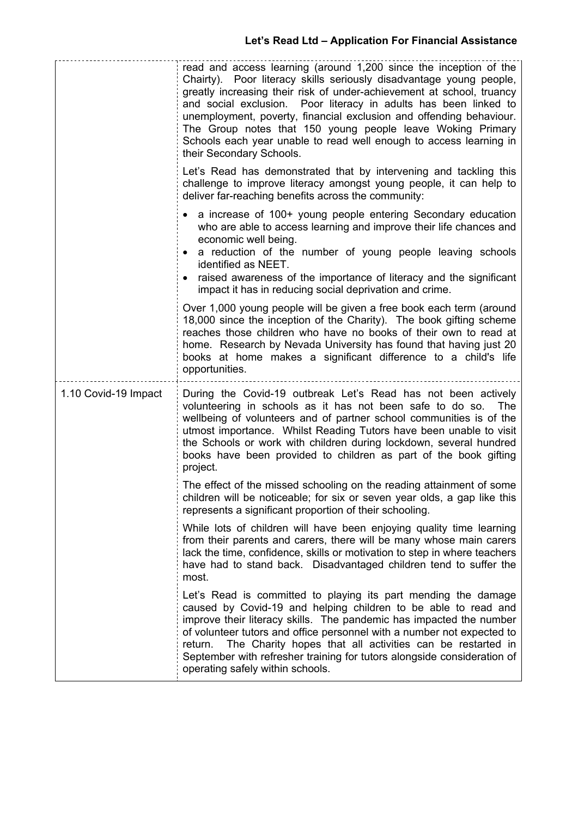|                      | read and access learning (around 1,200 since the inception of the<br>Chairty). Poor literacy skills seriously disadvantage young people,<br>greatly increasing their risk of under-achievement at school, truancy<br>and social exclusion. Poor literacy in adults has been linked to<br>unemployment, poverty, financial exclusion and offending behaviour.<br>The Group notes that 150 young people leave Woking Primary<br>Schools each year unable to read well enough to access learning in<br>their Secondary Schools. |
|----------------------|------------------------------------------------------------------------------------------------------------------------------------------------------------------------------------------------------------------------------------------------------------------------------------------------------------------------------------------------------------------------------------------------------------------------------------------------------------------------------------------------------------------------------|
|                      | Let's Read has demonstrated that by intervening and tackling this<br>challenge to improve literacy amongst young people, it can help to<br>deliver far-reaching benefits across the community:                                                                                                                                                                                                                                                                                                                               |
|                      | a increase of 100+ young people entering Secondary education<br>who are able to access learning and improve their life chances and<br>economic well being.<br>a reduction of the number of young people leaving schools<br>identified as NEET.<br>raised awareness of the importance of literacy and the significant<br>impact it has in reducing social deprivation and crime.                                                                                                                                              |
|                      | Over 1,000 young people will be given a free book each term (around<br>18,000 since the inception of the Charity). The book gifting scheme<br>reaches those children who have no books of their own to read at<br>home. Research by Nevada University has found that having just 20<br>books at home makes a significant difference to a child's life<br>opportunities.                                                                                                                                                      |
| 1.10 Covid-19 Impact | During the Covid-19 outbreak Let's Read has not been actively<br>volunteering in schools as it has not been safe to do so.<br><b>The</b><br>wellbeing of volunteers and of partner school communities is of the<br>utmost importance. Whilst Reading Tutors have been unable to visit<br>the Schools or work with children during lockdown, several hundred<br>books have been provided to children as part of the book gifting<br>project.                                                                                  |
|                      | The effect of the missed schooling on the reading attainment of some<br>children will be noticeable; for six or seven year olds, a gap like this<br>represents a significant proportion of their schooling.                                                                                                                                                                                                                                                                                                                  |
|                      | While lots of children will have been enjoying quality time learning<br>from their parents and carers, there will be many whose main carers<br>lack the time, confidence, skills or motivation to step in where teachers<br>have had to stand back. Disadvantaged children tend to suffer the<br>most.                                                                                                                                                                                                                       |
|                      | Let's Read is committed to playing its part mending the damage<br>caused by Covid-19 and helping children to be able to read and<br>improve their literacy skills. The pandemic has impacted the number<br>of volunteer tutors and office personnel with a number not expected to<br>The Charity hopes that all activities can be restarted in<br>return.<br>September with refresher training for tutors alongside consideration of<br>operating safely within schools.                                                     |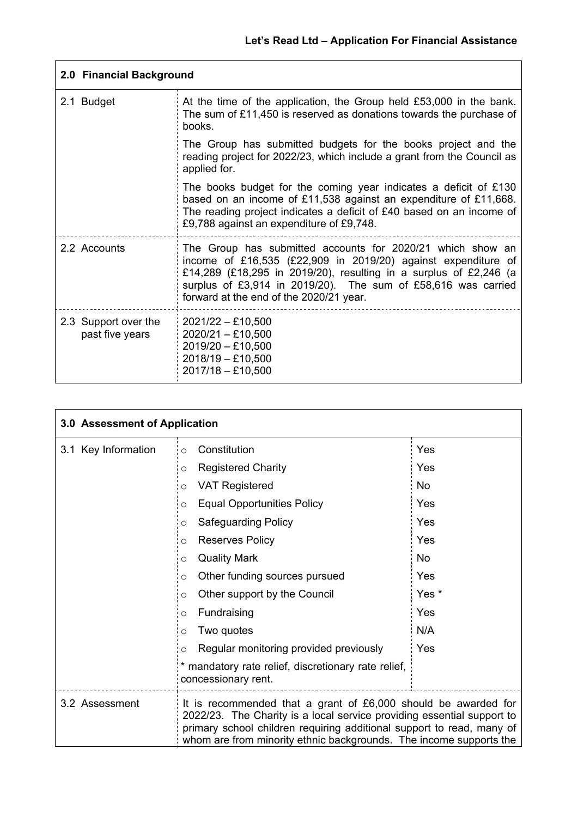| 2.0 Financial Background                |                                                                                                                                                                                                                                                                                                              |
|-----------------------------------------|--------------------------------------------------------------------------------------------------------------------------------------------------------------------------------------------------------------------------------------------------------------------------------------------------------------|
| 2.1 Budget                              | At the time of the application, the Group held £53,000 in the bank.<br>The sum of £11,450 is reserved as donations towards the purchase of<br>books.                                                                                                                                                         |
|                                         | The Group has submitted budgets for the books project and the<br>reading project for 2022/23, which include a grant from the Council as<br>applied for.                                                                                                                                                      |
|                                         | The books budget for the coming year indicates a deficit of £130<br>based on an income of £11,538 against an expenditure of £11,668.<br>The reading project indicates a deficit of £40 based on an income of<br>£9,788 against an expenditure of £9,748.                                                     |
| 2.2 Accounts                            | The Group has submitted accounts for 2020/21 which show an<br>income of £16,535 (£22,909 in 2019/20) against expenditure of<br>£14,289 (£18,295 in 2019/20), resulting in a surplus of £2,246 (a<br>surplus of £3,914 in 2019/20). The sum of £58,616 was carried<br>forward at the end of the 2020/21 year. |
| 2.3 Support over the<br>past five years | $2021/22 - £10,500$<br>$2020/21 - £10,500$<br>$2019/20 - £10,500$<br>2018/19 - £10,500<br>$2017/18 - £10,500$                                                                                                                                                                                                |

| 3.0 Assessment of Application |                                                                                                                                                                                                                                                                                         |                  |
|-------------------------------|-----------------------------------------------------------------------------------------------------------------------------------------------------------------------------------------------------------------------------------------------------------------------------------------|------------------|
| 3.1 Key Information           | Constitution<br>$\Omega$                                                                                                                                                                                                                                                                | Yes              |
|                               | <b>Registered Charity</b><br>Ω                                                                                                                                                                                                                                                          | Yes              |
|                               | <b>VAT Registered</b><br>O                                                                                                                                                                                                                                                              | <b>No</b>        |
|                               | <b>Equal Opportunities Policy</b><br>O                                                                                                                                                                                                                                                  | Yes              |
|                               | Safeguarding Policy<br>Ω                                                                                                                                                                                                                                                                | Yes              |
|                               | <b>Reserves Policy</b><br>O                                                                                                                                                                                                                                                             | Yes              |
|                               | <b>Quality Mark</b><br>O                                                                                                                                                                                                                                                                | <b>No</b>        |
|                               | Other funding sources pursued<br>O                                                                                                                                                                                                                                                      | Yes              |
|                               | Other support by the Council<br>O                                                                                                                                                                                                                                                       | Yes <sup>*</sup> |
|                               | Fundraising<br>O                                                                                                                                                                                                                                                                        | Yes              |
|                               | Two quotes<br>O                                                                                                                                                                                                                                                                         | N/A              |
|                               | Regular monitoring provided previously<br>O                                                                                                                                                                                                                                             | Yes              |
|                               | * mandatory rate relief, discretionary rate relief,<br>concessionary rent.                                                                                                                                                                                                              |                  |
| 3.2 Assessment                | It is recommended that a grant of £6,000 should be awarded for<br>2022/23. The Charity is a local service providing essential support to<br>primary school children requiring additional support to read, many of<br>whom are from minority ethnic backgrounds. The income supports the |                  |